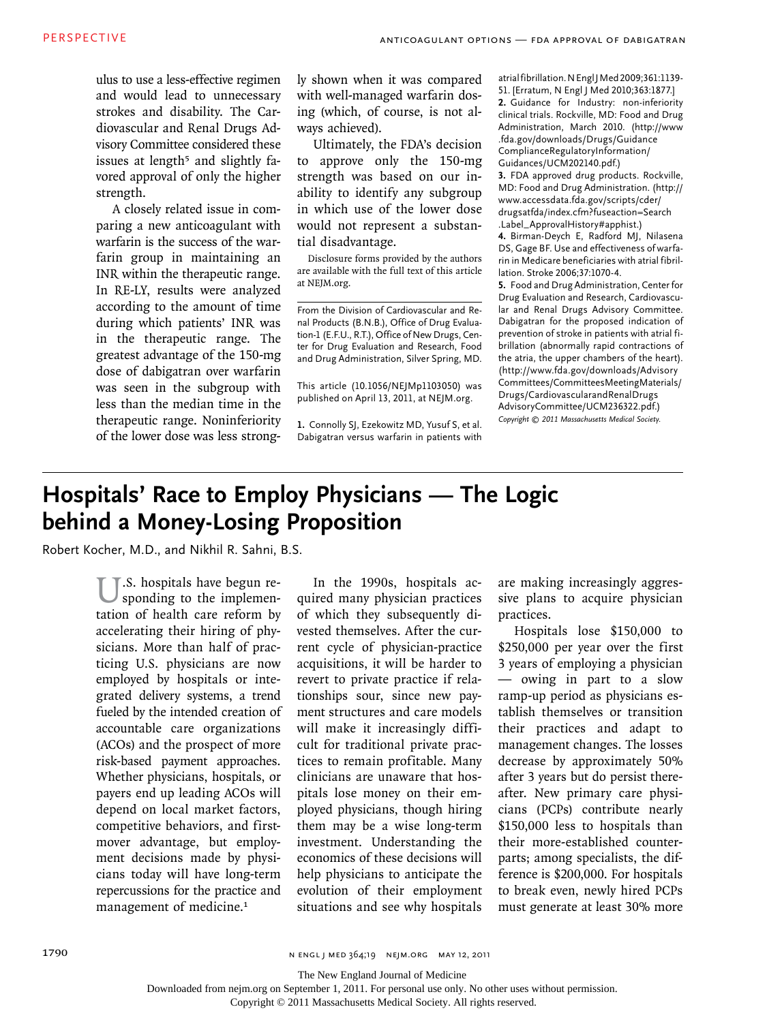ulus to use a less-effective regimen and would lead to unnecessary strokes and disability. The Cardiovascular and Renal Drugs Advisory Committee considered these issues at length<sup>5</sup> and slightly favored approval of only the higher strength.

A closely related issue in comparing a new anticoagulant with warfarin is the success of the warfarin group in maintaining an INR within the therapeutic range. In RE-LY, results were analyzed according to the amount of time during which patients' INR was in the therapeutic range. The greatest advantage of the 150-mg dose of dabigatran over warfarin was seen in the subgroup with less than the median time in the therapeutic range. Noninferiority of the lower dose was less strongly shown when it was compared with well-managed warfarin dosing (which, of course, is not always achieved).

Ultimately, the FDA's decision to approve only the 150-mg strength was based on our inability to identify any subgroup in which use of the lower dose would not represent a substantial disadvantage.

Disclosure forms provided by the authors are available with the full text of this article at NEJM.org.

From the Division of Cardiovascular and Renal Products (B.N.B.), Office of Drug Evaluation-1 (E.F.U., R.T.), Office of New Drugs, Center for Drug Evaluation and Research, Food and Drug Administration, Silver Spring, MD.

This article (10.1056/NEJMp1103050) was published on April 13, 2011, at NEJM.org.

**1.** Connolly SJ, Ezekowitz MD, Yusuf S, et al. Dabigatran versus warfarin in patients with

atrial fibrillation. N Engl J Med 2009;361:1139- 51. [Erratum, N Engl J Med 2010;363:1877.] **2.** Guidance for Industry: non-inferiority clinical trials. Rockville, MD: Food and Drug Administration, March 2010. (http://www .fda.gov/downloads/Drugs/Guidance ComplianceRegulatoryInformation/ Guidances/UCM202140.pdf.)

**3.** FDA approved drug products. Rockville, MD: Food and Drug Administration. (http:// www.accessdata.fda.gov/scripts/cder/ drugsatfda/index.cfm?fuseaction=Search .Label\_ApprovalHistory#apphist.) **4.** Birman-Deych E, Radford MJ, Nilasena DS, Gage BF. Use and effectiveness of warfarin in Medicare beneficiaries with atrial fibrillation. Stroke 2006;37:1070-4.

**5.** Food and Drug Administration, Center for Drug Evaluation and Research, Cardiovascular and Renal Drugs Advisory Committee. Dabigatran for the proposed indication of prevention of stroke in patients with atrial fibrillation (abnormally rapid contractions of the atria, the upper chambers of the heart). (http://www.fda.gov/downloads/Advisory Committees/CommitteesMeetingMaterials/ Drugs/CardiovascularandRenalDrugs AdvisoryCommittee/UCM236322.pdf.) *Copyright © 2011 Massachusetts Medical Society.*

## **Hospitals' Race to Employ Physicians — The Logic behind a Money-Losing Proposition**

Robert Kocher, M.D., and Nikhil R. Sahni, B.S.

 $\mathbb{T}$ .S. hospitals have begun responding to the implementation of health care reform by accelerating their hiring of physicians. More than half of practicing U.S. physicians are now employed by hospitals or integrated delivery systems, a trend fueled by the intended creation of accountable care organizations (ACOs) and the prospect of more risk-based payment approaches. Whether physicians, hospitals, or payers end up leading ACOs will depend on local market factors, competitive behaviors, and firstmover advantage, but employment decisions made by physicians today will have long-term repercussions for the practice and management of medicine.<sup>1</sup>

In the 1990s, hospitals acquired many physician practices of which they subsequently divested themselves. After the current cycle of physician-practice acquisitions, it will be harder to revert to private practice if relationships sour, since new payment structures and care models will make it increasingly difficult for traditional private practices to remain profitable. Many clinicians are unaware that hospitals lose money on their employed physicians, though hiring them may be a wise long-term investment. Understanding the economics of these decisions will help physicians to anticipate the evolution of their employment situations and see why hospitals

are making increasingly aggressive plans to acquire physician practices.

Hospitals lose \$150,000 to \$250,000 per year over the first 3 years of employing a physician — owing in part to a slow ramp-up period as physicians establish themselves or transition their practices and adapt to management changes. The losses decrease by approximately 50% after 3 years but do persist thereafter. New primary care physicians (PCPs) contribute nearly \$150,000 less to hospitals than their more-established counterparts; among specialists, the difference is \$200,000. For hospitals to break even, newly hired PCPs must generate at least 30% more

1790 **n engl j med 364;19 NEM.ORG MAY 12, 2011** 

The New England Journal of Medicine

Downloaded from nejm.org on September 1, 2011. For personal use only. No other uses without permission.

Copyright © 2011 Massachusetts Medical Society. All rights reserved.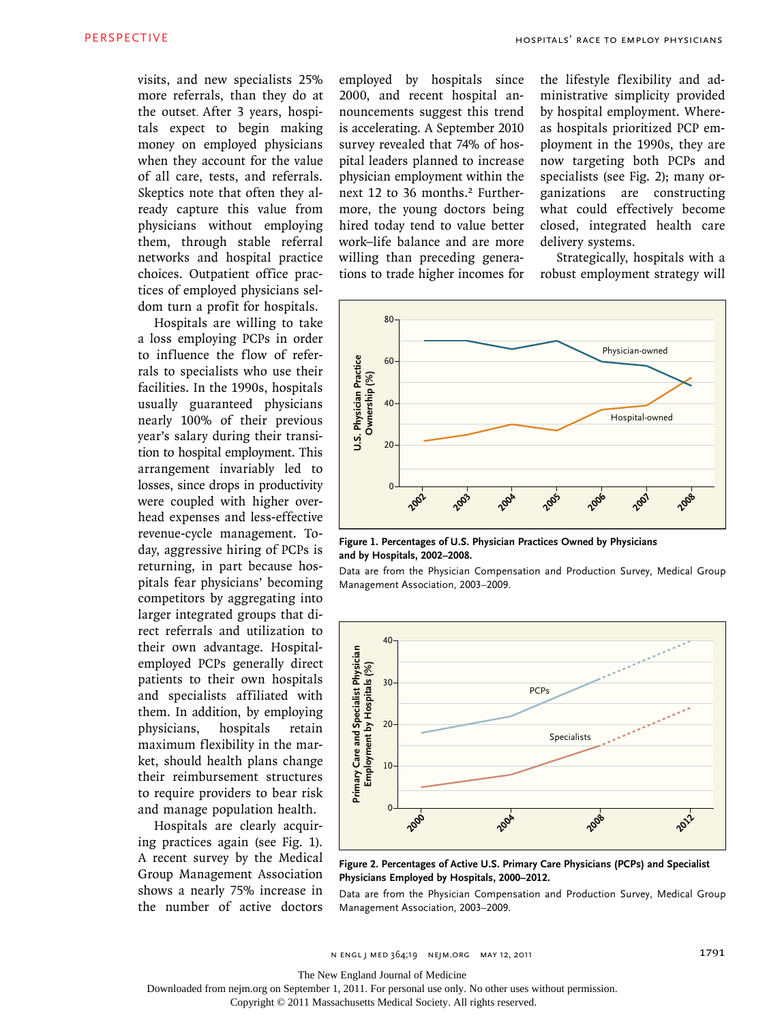visits, and new specialists 25% more referrals, than they do at the outset. After 3 years, hospitals expect to begin making money on employed physicians when they account for the value of all care, tests, and referrals. Skeptics note that often they already capture this value from physicians without employing them, through stable referral networks and hospital practice choices. Outpatient office practices of employed physicians seldom turn a profit for hospitals.

Hospitals are willing to take a loss employing PCPs in order to influence the flow of referrals to specialists who use their facilities. In the 1990s, hospitals usually guaranteed physicians nearly 100% of their previous year's salary during their transition to hospital employment. This arrangement invariably led to losses, since drops in productivity were coupled with higher overhead expenses and less-effective revenue-cycle management. Today, aggressive hiring of PCPs is returning, in part because hospitals fear physicians' becoming competitors by aggregating into larger integrated groups that direct referrals and utilization to their own advantage. Hospitalemployed PCPs generally direct patients to their own hospitals and specialists affiliated with them. In addition, by employing physicians, hospitals retain maximum flexibility in the market, should health plans change their reimbursement structures to require providers to bear risk and manage population health.

Hospitals are clearly acquiring practices again (see Fig. 1). A recent survey by the Medical Group Management Association shows a nearly 75% increase in the number of active doctors employed by hospitals since 2000, and recent hospital announcements suggest this trend is accelerating. A September 2010 survey revealed that 74% of hospital leaders planned to increase physician employment within the next 12 to 36 months.2 Furthermore, the young doctors being hired today tend to value better work–life balance and are more willing than preceding generations to trade higher incomes for the lifestyle flexibility and administrative simplicity provided by hospital employment. Whereas hospitals prioritized PCP employment in the 1990s, they are now targeting both PCPs and specialists (see Fig. 2); many organizations are constructing what could effectively become closed, integrated health care delivery systems.

Strategically, hospitals with a robust employment strategy will



Data are from the Physician Compensation and Production Survey, Medical Group

**Figure 1. Percentages of U.S. Physician Practices Owned by Physicians and by Hospitals, 2002–2008.**



**Figure 2. Percentages of Active U.S. Primary Care Physicians (PCPs) and Specialist Physicians Employed by Hospitals, 2000–2012.**

Data are from the Physician Compensation and Production Survey, Medical Group Management Association, 2003–2009.

Management Association, 2003–2009.

The New England Journal of Medicine

Downloaded from nejm.org on September 1, 2011. For personal use only. No other uses without permission.

Copyright © 2011 Massachusetts Medical Society. All rights reserved.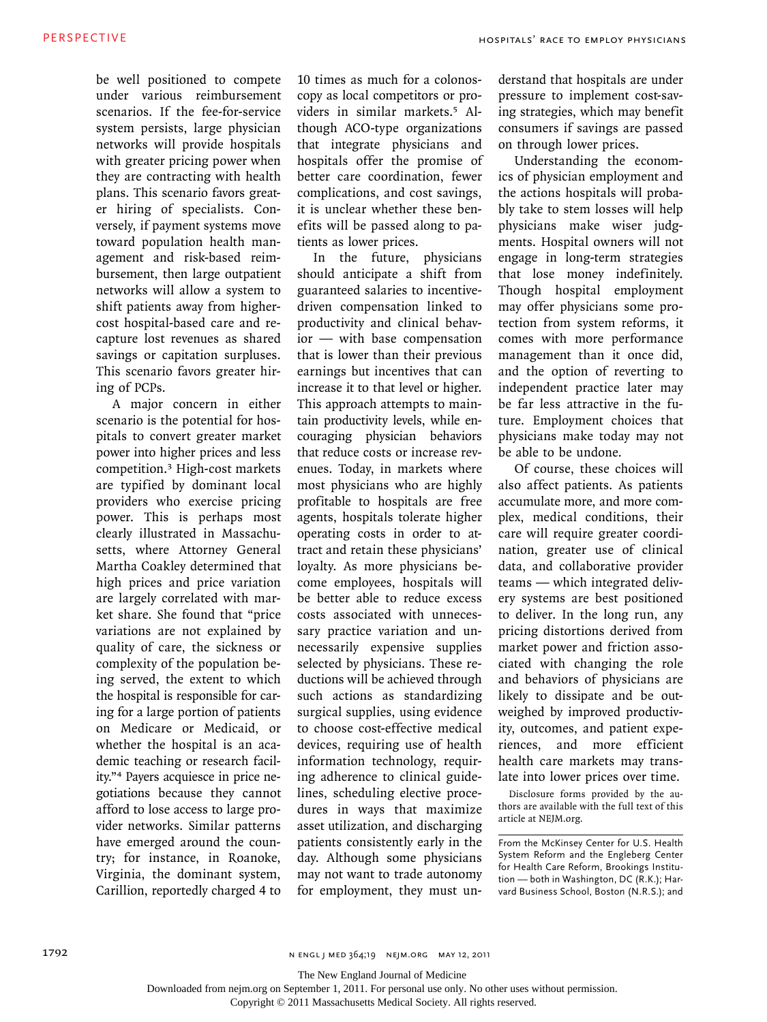be well positioned to compete under various reimbursement scenarios. If the fee-for-service system persists, large physician networks will provide hospitals with greater pricing power when they are contracting with health plans. This scenario favors greater hiring of specialists. Conversely, if payment systems move toward population health management and risk-based reimbursement, then large outpatient networks will allow a system to shift patients away from highercost hospital-based care and recapture lost revenues as shared savings or capitation surpluses. This scenario favors greater hiring of PCPs.

A major concern in either scenario is the potential for hospitals to convert greater market power into higher prices and less competition.3 High-cost markets are typified by dominant local providers who exercise pricing power. This is perhaps most clearly illustrated in Massachusetts, where Attorney General Martha Coakley determined that high prices and price variation are largely correlated with market share. She found that "price variations are not explained by quality of care, the sickness or complexity of the population being served, the extent to which the hospital is responsible for caring for a large portion of patients on Medicare or Medicaid, or whether the hospital is an academic teaching or research facility."4 Payers acquiesce in price negotiations because they cannot afford to lose access to large provider networks. Similar patterns have emerged around the country; for instance, in Roanoke, Virginia, the dominant system, Carillion, reportedly charged 4 to

10 times as much for a colonoscopy as local competitors or providers in similar markets.5 Although ACO-type organizations that integrate physicians and hospitals offer the promise of better care coordination, fewer complications, and cost savings, it is unclear whether these benefits will be passed along to patients as lower prices.

In the future, physicians should anticipate a shift from guaranteed salaries to incentivedriven compensation linked to productivity and clinical behavior — with base compensation that is lower than their previous earnings but incentives that can increase it to that level or higher. This approach attempts to maintain productivity levels, while encouraging physician behaviors that reduce costs or increase revenues. Today, in markets where most physicians who are highly profitable to hospitals are free agents, hospitals tolerate higher operating costs in order to attract and retain these physicians' loyalty. As more physicians become employees, hospitals will be better able to reduce excess costs associated with unnecessary practice variation and unnecessarily expensive supplies selected by physicians. These reductions will be achieved through such actions as standardizing surgical supplies, using evidence to choose cost-effective medical devices, requiring use of health information technology, requiring adherence to clinical guidelines, scheduling elective procedures in ways that maximize asset utilization, and discharging patients consistently early in the day. Although some physicians may not want to trade autonomy for employment, they must understand that hospitals are under pressure to implement cost-saving strategies, which may benefit consumers if savings are passed on through lower prices.

Understanding the economics of physician employment and the actions hospitals will probably take to stem losses will help physicians make wiser judgments. Hospital owners will not engage in long-term strategies that lose money indefinitely. Though hospital employment may offer physicians some protection from system reforms, it comes with more performance management than it once did, and the option of reverting to independent practice later may be far less attractive in the future. Employment choices that physicians make today may not be able to be undone.

Of course, these choices will also affect patients. As patients accumulate more, and more complex, medical conditions, their care will require greater coordination, greater use of clinical data, and collaborative provider teams — which integrated delivery systems are best positioned to deliver. In the long run, any pricing distortions derived from market power and friction associated with changing the role and behaviors of physicians are likely to dissipate and be outweighed by improved productivity, outcomes, and patient experiences, and more efficient health care markets may translate into lower prices over time.

Disclosure forms provided by the authors are available with the full text of this article at NEJM.org.

From the McKinsey Center for U.S. Health System Reform and the Engleberg Center for Health Care Reform, Brookings Institution — both in Washington, DC (R.K.); Harvard Business School, Boston (N.R.S.); and

1792 **n engl j med 364;19 n engl med 364;19 n engl med 364;19 n engl med 364;19 n engl med 3011** 

The New England Journal of Medicine

Downloaded from nejm.org on September 1, 2011. For personal use only. No other uses without permission.

Copyright © 2011 Massachusetts Medical Society. All rights reserved.